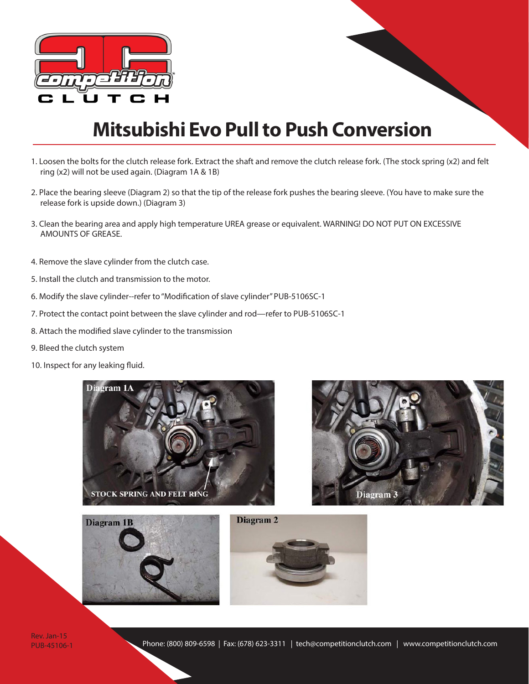

#### **Mitsubishi Evo Pull to Push Conversion**

- 1. Loosen the bolts for the clutch release fork. Extract the shaft and remove the clutch release fork. (The stock spring (x2) and felt ring (x2) will not be used again. (Diagram 1A & 1B)
- 2. Place the bearing sleeve (Diagram 2) so that the tip of the release fork pushes the bearing sleeve. (You have to make sure the release fork is upside down.) (Diagram 3)
- 3. Clean the bearing area and apply high temperature UREA grease or equivalent. WARNING! DO NOT PUT ON EXCESSIVE AMOUNTS OF GREASE.
- 4. Remove the slave cylinder from the clutch case.
- 5. Install the clutch and transmission to the motor.
- 6. Modify the slave cylinder‐‐refer to "Modification of slave cylinder" PUB‐5106SC‐1
- 7. Protect the contact point between the slave cylinder and rod—refer to PUB‐5106SC‐1
- 8. Attach the modified slave cylinder to the transmission
- 9. Bleed the clutch system
- 10. Inspect for any leaking fluid.







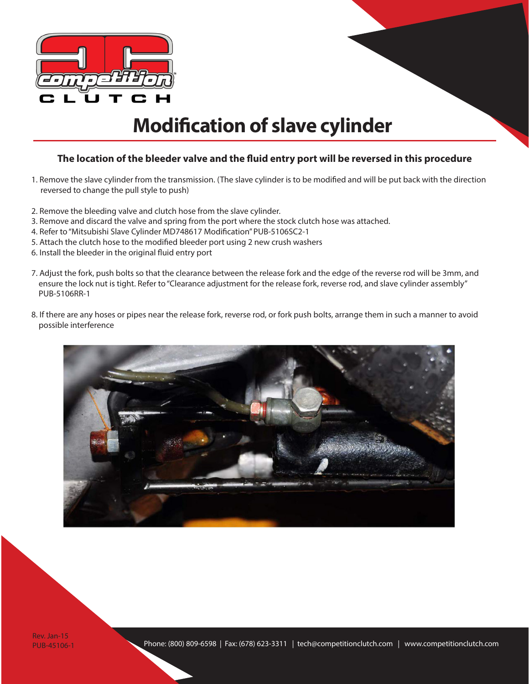

## **Modification of slave cylinder**

#### **The location of the bleeder valve and the fluid entry port will be reversed in this procedure**

- 1. Remove the slave cylinder from the transmission. (The slave cylinder is to be modified and will be put back with the direction reversed to change the pull style to push)
- 2. Remove the bleeding valve and clutch hose from the slave cylinder.
- 3. Remove and discard the valve and spring from the port where the stock clutch hose was attached.
- 4. Refer to "Mitsubishi Slave Cylinder MD748617 Modification" PUB-5106SC2-1
- 5. Attach the clutch hose to the modified bleeder port using 2 new crush washers
- 6. Install the bleeder in the original fluid entry port
- 7. Adjust the fork, push bolts so that the clearance between the release fork and the edge of the reverse rod will be 3mm, and ensure the lock nut is tight. Refer to "Clearance adjustment for the release fork, reverse rod, and slave cylinder assembly" PUB-5106RR-1
- 8. If there are any hoses or pipes near the release fork, reverse rod, or fork push bolts, arrange them in such a manner to avoid possible interference

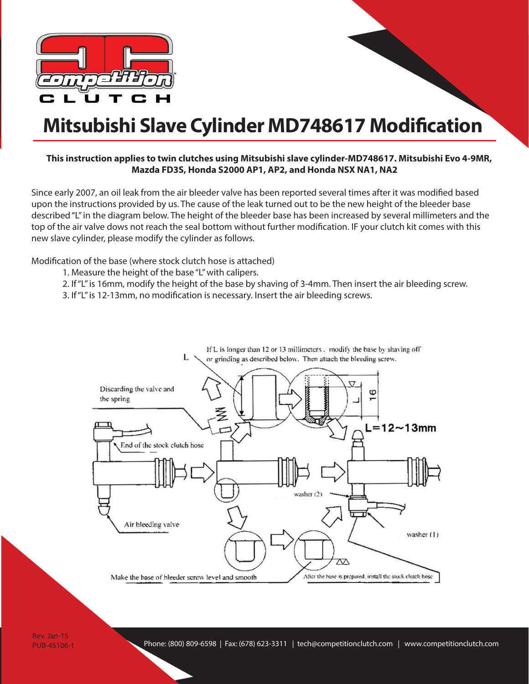

## **Mitsubishi Slave Cylinder MD748617 Modification**

#### **This instruction applies to twin clutches using Mitsubishi slave cylinder-MD748617. Mitsubishi Evo 4-9MR, Mazda FD3S, Honda S2000 AP1, AP2, and Honda NSX NA1, NA2**

Since early 2007, an oil leak from the air bleeder valve has been reported several times after it was modified based upon the instructions provided by us. The cause of the leak turned out to be the new height of the bleeder base described "L" in the diagram below. The height of the bleeder base has been increased by several millimeters and the top of the air valve dows not reach the seal bottom without further modification. IF your clutch kit comes with this new slave cylinder, please modify the cylinder as follows.

Modification of the base (where stock clutch hose is attached)

- 1. Measure the height of the base "L" with calipers.
- 2. If "L" is 16mm, modify the height of the base by shaving of 3-4mm. Then insert the air bleeding screw.

3. If "L" is 12-13mm, no modification is necessary. Insert the air bleeding screws.